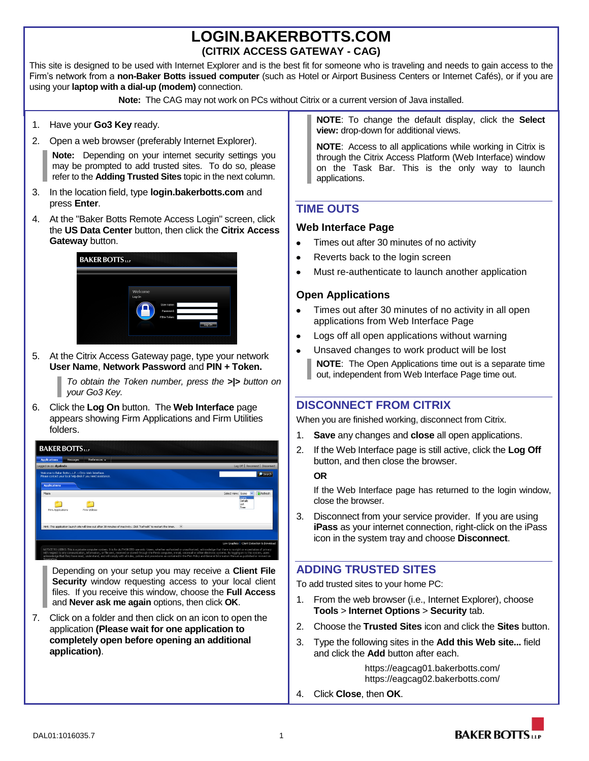# **LOGIN.BAKERBOTTS.COM (CITRIX ACCESS GATEWAY - CAG)**

This site is designed to be used with Internet Explorer and is the best fit for someone who is traveling and needs to gain access to the Firm's network from a **non-Baker Botts issued computer** (such as Hotel or Airport Business Centers or Internet Cafés), or if you are using your **laptop with a dial-up (modem)** connection.

**Note:** The CAG may not work on PCs without Citrix or a current version of Java installed.

- 1. Have your **Go3 Key** ready.
- 2. Open a web browser (preferably Internet Explorer).

**Note:** Depending on your internet security settings you may be prompted to add trusted sites. To do so, please refer to the **Adding Trusted Sites** topic in the next column.

- 3. In the location field, type **login.bakerbotts.com** and press **Enter**.
- 4. At the "Baker Botts Remote Access Login" screen, click the **US Data Center** button, then click the **Citrix Access Gateway** button.



5. At the Citrix Access Gateway page, type your network **User Name**, **Network Password** and **PIN + Token.**

> *To obtain the Token number, press the >|> button on your Go3 Key.*

6. Click the **Log On** button. The **Web Interface** page appears showing Firm Applications and Firm Utilities folders.



Depending on your setup you may receive a **Client File Security** window requesting access to your local client files. If you receive this window, choose the **Full Access** and **Never ask me again** options, then click **OK**.

7. Click on a folder and then click on an icon to open the application **(Please wait for one application to completely open before opening an additional application)**.

**NOTE**: To change the default display, click the **Select view:** drop-down for additional views.

**NOTE**: Access to all applications while working in Citrix is through the Citrix Access Platform (Web Interface) window on the Task Bar. This is the only way to launch applications.

## **TIME OUTS**

#### **Web Interface Page**

- Times out after 30 minutes of no activity
- $\bullet$ Reverts back to the login screen
- Must re-authenticate to launch another application

#### **Open Applications**

- $\bullet$ Times out after 30 minutes of no activity in all open applications from Web Interface Page
- Logs off all open applications without warning
- Unsaved changes to work product will be lost **NOTE**: The Open Applications time out is a separate time out, independent from Web Interface Page time out.

### **DISCONNECT FROM CITRIX**

When you are finished working, disconnect from Citrix.

- 1. **Save** any changes and **close** all open applications.
- 2. If the Web Interface page is still active, click the **Log Off** button, and then close the browser.

#### **OR**

If the Web Interface page has returned to the login window, close the browser.

3. Disconnect from your service provider. If you are using **iPass** as your internet connection, right-click on the iPass icon in the system tray and choose **Disconnect**.

### **ADDING TRUSTED SITES**

To add trusted sites to your home PC:

- 1. From the web browser (i.e., Internet Explorer), choose **Tools** > **Internet Options** > **Security** tab.
- 2. Choose the **Trusted Sites** icon and click the **Sites** button.
- 3. Type the following sites in the **Add this Web site...** field and click the **Add** button after each.

https://eagcag01.bakerbotts.com/ https://eagcag02.bakerbotts.com/

4. Click **Close**, then **OK**.

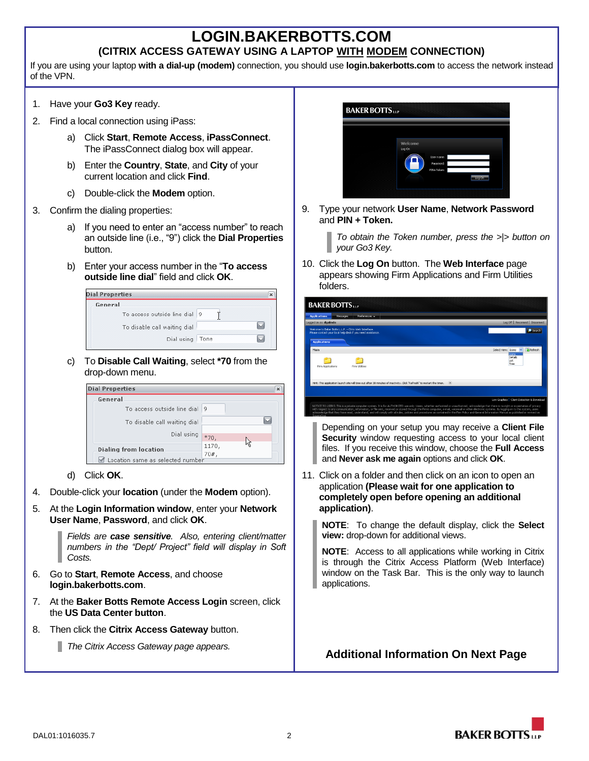## **LOGIN.BAKERBOTTS.COM (CITRIX ACCESS GATEWAY USING A LAPTOP WITH MODEM CONNECTION)**

If you are using your laptop **with a dial-up (modem)** connection, you should use **login.bakerbotts.com** to access the network instead of the VPN.

- 1. Have your **Go3 Key** ready.
- 2. Find a local connection using iPass:
	- a) Click **Start**, **Remote Access**, **iPassConnect**. The iPassConnect dialog box will appear.
	- b) Enter the **Country**, **State**, and **City** of your current location and click **Find**.
	- c) Double-click the **Modem** option.
- 3. Confirm the dialing properties:
	- a) If you need to enter an "access number" to reach an outside line (i.e., "9") click the **Dial Properties** button.
	- b) Enter your access number in the "**To access outside line dial**" field and click **OK**.

| <b>Dial Properties</b>       |      | $\mathbf x$ |
|------------------------------|------|-------------|
| General                      |      |             |
| To access outside line dial  | 9    |             |
| To disable call waiting dial |      |             |
| Dial using                   | Tone |             |

c) To **Disable Call Waiting**, select **\*70** from the drop-down menu.

| <b>Dial Properties</b>           |        | $\times$ |
|----------------------------------|--------|----------|
| General                          |        |          |
| To access outside line dial      | 9      |          |
| To disable call waiting dial     |        |          |
| Dial using                       |        |          |
|                                  | $*70,$ |          |
| <b>Dialing from location</b>     | 1170,  |          |
|                                  | 70#    |          |
| Location same as selected number |        |          |

- d) Click **OK**.
- 4. Double-click your **location** (under the **Modem** option).
- 5. At the **Login Information window**, enter your **Network User Name**, **Password**, and click **OK**.

*Fields are case sensitive. Also, entering client/matter numbers in the "Dept/ Project" field will display in Soft Costs.*

- 6. Go to **Start**, **Remote Access**, and choose **login.bakerbotts.com**.
- 7. At the **Baker Botts Remote Access Login** screen, click the **US Data Center button**.
- 8. Then click the **Citrix Access Gateway** button.
	- *The Citrix Access Gateway page appears.*



9. Type your network **User Name**, **Network Password** and **PIN + Token.**

> *To obtain the Token number, press the >|> button on your Go3 Key.*

10. Click the **Log On** button. The **Web Interface** page appears showing Firm Applications and Firm Utilities folders.

| <b>BAKER BOTTS</b>                                                                                                                                                                                                                                                                                                                                                                                                                                                                                                                                                                                          |  |                                            |  |  |  |
|-------------------------------------------------------------------------------------------------------------------------------------------------------------------------------------------------------------------------------------------------------------------------------------------------------------------------------------------------------------------------------------------------------------------------------------------------------------------------------------------------------------------------------------------------------------------------------------------------------------|--|--------------------------------------------|--|--|--|
| <b>Applications</b><br>Preferences -<br>Messages                                                                                                                                                                                                                                                                                                                                                                                                                                                                                                                                                            |  |                                            |  |  |  |
| ogged on as: dgalindo                                                                                                                                                                                                                                                                                                                                                                                                                                                                                                                                                                                       |  | Log Off Reconnect Disconnect               |  |  |  |
| Welcome to Baker Botts L.L.P. - Citrix Web Interface.<br>Please contact your local help desk if you need assistance.                                                                                                                                                                                                                                                                                                                                                                                                                                                                                        |  | Search                                     |  |  |  |
| <b>Applications</b>                                                                                                                                                                                                                                                                                                                                                                                                                                                                                                                                                                                         |  |                                            |  |  |  |
| Main                                                                                                                                                                                                                                                                                                                                                                                                                                                                                                                                                                                                        |  | <b>C</b> Refresh<br>Select view:<br>Icons  |  |  |  |
| Firm Applications<br>Firm Libilities                                                                                                                                                                                                                                                                                                                                                                                                                                                                                                                                                                        |  | Icons<br>Details<br>List<br>Tree           |  |  |  |
| 区<br>Hint: This application launch site will time out after 30 minutes of inactivity. Click "Refresh" to restart the timer.                                                                                                                                                                                                                                                                                                                                                                                                                                                                                 |  |                                            |  |  |  |
|                                                                                                                                                                                                                                                                                                                                                                                                                                                                                                                                                                                                             |  |                                            |  |  |  |
|                                                                                                                                                                                                                                                                                                                                                                                                                                                                                                                                                                                                             |  | Low Graphics   Client Detection & Download |  |  |  |
| NOTICE TO USERS: This is a private computer system. It is for AUTHORIZED use only. Users, whether authorized or unauthorized, admowledge that there is no right or expectation of privacy<br>with respect to any communication, information, or file sent, received or stored through the Firm's computer, e-mail, voicemail or other electronic systems. By logging on to this system, users<br>admowledge that they have read, understand, and will comply with all rules, policies and procedures as contained in the Firm Policy and General Information Manual as published or revised on<br>SouseaOne |  |                                            |  |  |  |

Depending on your setup you may receive a **Client File Security** window requesting access to your local client files. If you receive this window, choose the **Full Access** and **Never ask me again** options and click **OK**.

11. Click on a folder and then click on an icon to open an application **(Please wait for one application to completely open before opening an additional application)**.

**NOTE**: To change the default display, click the **Select view:** drop-down for additional views.

**NOTE**: Access to all applications while working in Citrix is through the Citrix Access Platform (Web Interface) window on the Task Bar. This is the only way to launch applications.

**Additional Information On Next Page**

**BAKER BOTTS**